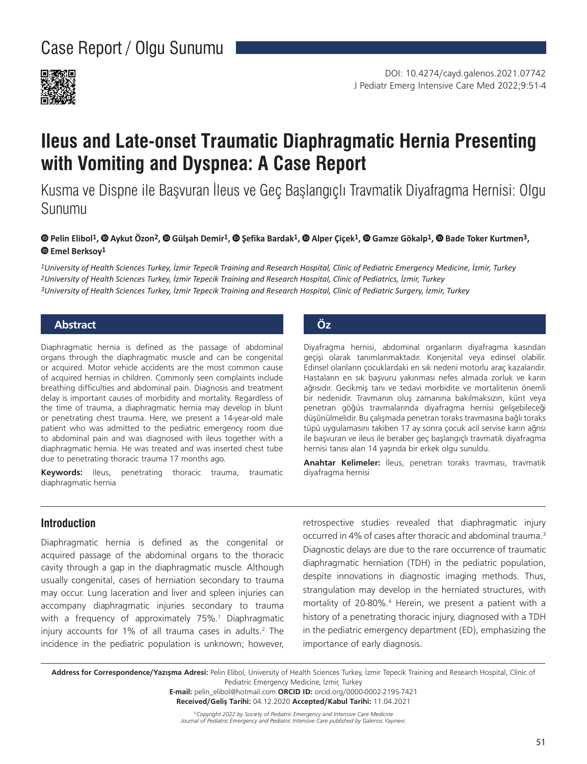

# **Ileus and Late-onset Traumatic Diaphragmatic Hernia Presenting with Vomiting and Dyspnea: A Case Report**

Kusma ve Dispne ile Başvuran İleus ve Geç Başlangıçlı Travmatik Diyafragma Hernisi: Olgu Sunumu

#### ©Pelin Elibol<sup>1</sup>, © Aykut Özon<sup>2</sup>, © [G](https://orcid.org/0000-0001-9467-3617)ülşah Demir<sup>1</sup>, © Şefika Bardak<sup>1</sup>, © Alper Çiçek<sup>1</sup>, © Gamze Gökalp<sup>1</sup>, © Bade Toker Kurtmen<sup>3</sup>, **Emel Berksoy1**

*1University of Health Sciences Turkey, İzmir Tepecik Training and Research Hospital, Clinic of Pediatric Emergency Medicine, İzmir, Turkey 2University of Health Sciences Turkey, İzmir Tepecik Training and Research Hospital, Clinic of Pediatrics, İzmir, Turkey 3University of Health Sciences Turkey, İzmir Tepecik Training and Research Hospital, Clinic of Pediatric Surgery, İzmir, Turkey*

## **Abstract Öz**

Diaphragmatic hernia is defined as the passage of abdominal organs through the diaphragmatic muscle and can be congenital or acquired. Motor vehicle accidents are the most common cause of acquired hernias in children. Commonly seen complaints include breathing difficulties and abdominal pain. Diagnosis and treatment delay is important causes of morbidity and mortality. Regardless of the time of trauma, a diaphragmatic hernia may develop in blunt or penetrating chest trauma. Here, we present a 14-year-old male patient who was admitted to the pediatric emergency room due to abdominal pain and was diagnosed with ileus together with a diaphragmatic hernia. He was treated and was inserted chest tube due to penetrating thoracic trauma 17 months ago.

**Keywords:** Ileus, penetrating thoracic trauma, traumatic diaphragmatic hernia

Diyafragma hernisi, abdominal organların diyafragma kasından geçişi olarak tanımlanmaktadır. Konjenital veya edinsel olabilir. Edinsel olanların çocuklardaki en sık nedeni motorlu araç kazalarıdır. Hastaların en sık başvuru yakınması nefes almada zorluk ve karın ağrısıdır. Gecikmiş tanı ve tedavi morbidite ve mortalitenin önemli bir nedenidir. Travmanın oluş zamanına bakılmaksızın, künt veya penetran göğüs travmalarında diyafragma hernisi gelişebileceği düşünülmelidir. Bu çalışmada penetran toraks travmasına bağlı toraks tüpü uygulamasını takiben 17 ay sonra çocuk acil servise karın ağrısı ile başvuran ve ileus ile beraber geç başlangıçlı travmatik diyafragma hernisi tanısı alan 14 yaşında bir erkek olgu sunuldu.

**Anahtar Kelimeler:** İleus, penetran toraks travması, travmatik diyafragma hernisi

#### **Introduction**

Diaphragmatic hernia is defined as the congenital or acquired passage of the abdominal organs to the thoracic cavity through a gap in the diaphragmatic muscle. Although usually congenital, cases of herniation secondary to trauma may occur. Lung laceration and liver and spleen injuries can accompany diaphragmatic injuries secondary to trauma with a frequency of approximately 75%. 1 Diaphragmatic injury accounts for 1% of all trauma cases in adults. <sup>2</sup> The incidence in the pediatric population is unknown; however,

retrospective studies revealed that diaphragmatic injury occurred in 4% of cases after thoracic and abdominal trauma. 3 Diagnostic delays are due to the rare occurrence of traumatic diaphragmatic herniation (TDH) in the pediatric population, despite innovations in diagnostic imaging methods. Thus, strangulation may develop in the herniated structures, with mortality of 20-80%. <sup>4</sup> Herein, we present a patient with a history of a penetrating thoracic injury, diagnosed with a TDH in the pediatric emergency department (ED), emphasizing the importance of early diagnosis.

**Address for Correspondence/Yazışma Adresi:** Pelin Elibol, University of Health Sciences Turkey, İzmir Tepecik Training and Research Hospital, Clinic of Pediatric Emergency Medicine, İzmir, Turkey

> **E-mail:** pelin\_elibol@hotmail.com **ORCID ID:** orcid.org/0000-0002-2195-7421 **Received/Geliş Tarihi:** 04.12.2020 **Accepted/Kabul Tarihi:** 11.04.2021

*©Copyright 2022 by Society of Pediatric Emergency and Intensive Care Medicine Journal of Pediatric Emergency and Pediatric Intensive Care published by Galenos Yayınevi.*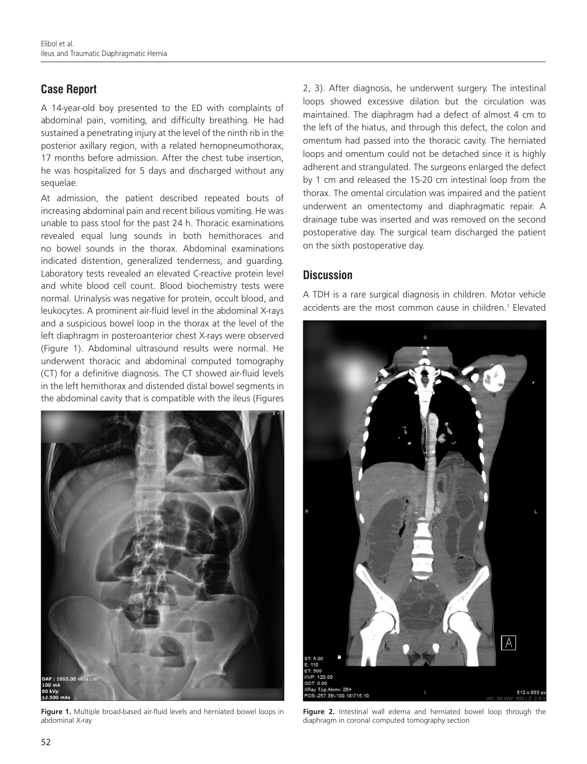# **Case Report**

A 14-year-old boy presented to the ED with complaints of abdominal pain, vomiting, and difficulty breathing. He had sustained a penetrating injury at the level of the ninth rib in the posterior axillary region, with a related hemopneumothorax, 17 months before admission. After the chest tube insertion, he was hospitalized for 5 days and discharged without any sequelae.

At admission, the patient described repeated bouts of increasing abdominal pain and recent bilious vomiting. He was unable to pass stool for the past 24 h. Thoracic examinations revealed equal lung sounds in both hemithoraces and no bowel sounds in the thorax. Abdominal examinations indicated distention, generalized tenderness, and guarding. Laboratory tests revealed an elevated C-reactive protein level and white blood cell count. Blood biochemistry tests were normal. Urinalysis was negative for protein, occult blood, and leukocytes. A prominent air-fluid level in the abdominal X-rays and a suspicious bowel loop in the thorax at the level of the left diaphragm in posteroanterior chest X-rays were observed (Figure 1). Abdominal ultrasound results were normal. He underwent thoracic and abdominal computed tomography (CT) for a definitive diagnosis. The CT showed air-fluid levels in the left hemithorax and distended distal bowel segments in the abdominal cavity that is compatible with the ileus (Figures



**Figure 1.** Multiple broad-based air-fluid levels and herniated bowel loops in abdominal X-ray

2, 3). After diagnosis, he underwent surgery. The intestinal loops showed excessive dilation but the circulation was maintained. The diaphragm had a defect of almost 4 cm to the left of the hiatus, and through this defect, the colon and omentum had passed into the thoracic cavity. The herniated loops and omentum could not be detached since it is highly adherent and strangulated. The surgeons enlarged the defect by 1 cm and released the 15-20 cm intestinal loop from the thorax. The omental circulation was impaired and the patient underwent an omentectomy and diaphragmatic repair. A drainage tube was inserted and was removed on the second postoperative day. The surgical team discharged the patient on the sixth postoperative day.

## **Discussion**

A TDH is a rare surgical diagnosis in children. Motor vehicle accidents are the most common cause in children. 1 Elevated



**Figure 2.** Intestinal wall edema and herniated bowel loop through the diaphragm in coronal computed tomography section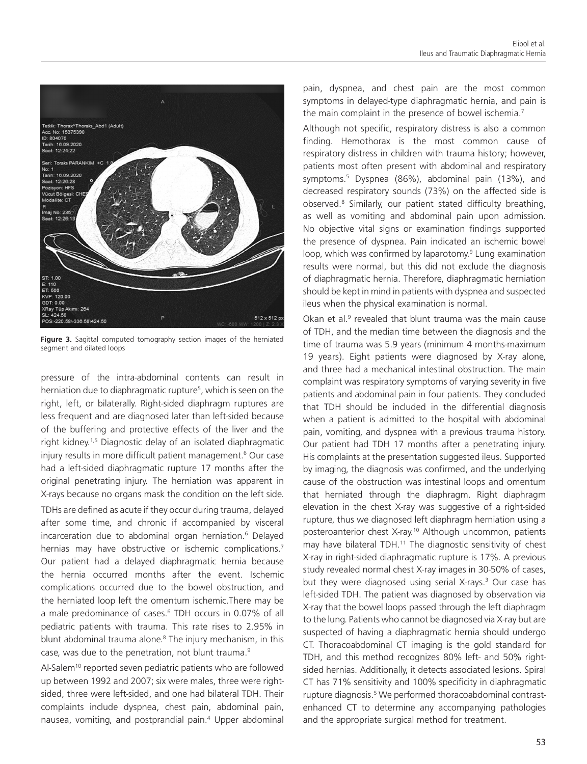

**Figure 3.** Sagittal computed tomography section images of the herniated segment and dilated loops

pressure of the intra-abdominal contents can result in herniation due to diaphragmatic rupture<sup>5</sup>, which is seen on the right, left, or bilaterally. Right-sided diaphragm ruptures are less frequent and are diagnosed later than left-sided because of the buffering and protective effects of the liver and the right kidney. <sup>1</sup>,5 Diagnostic delay of an isolated diaphragmatic injury results in more difficult patient management. <sup>6</sup> Our case had a left-sided diaphragmatic rupture 17 months after the original penetrating injury. The herniation was apparent in X-rays because no organs mask the condition on the left side.

TDHs are defined as acute if they occur during trauma, delayed after some time, and chronic if accompanied by visceral incarceration due to abdominal organ herniation. 6 Delayed hernias may have obstructive or ischemic complications.<sup>7</sup> Our patient had a delayed diaphragmatic hernia because the hernia occurred months after the event. Ischemic complications occurred due to the bowel obstruction, and the herniated loop left the omentum ischemic.There may be a male predominance of cases. <sup>6</sup> TDH occurs in 0.07% of all pediatric patients with trauma. This rate rises to 2.95% in blunt abdominal trauma alone.<sup>8</sup> The injury mechanism, in this case, was due to the penetration, not blunt trauma.<sup>9</sup>

Al-Salem<sup>10</sup> reported seven pediatric patients who are followed up between 1992 and 2007; six were males, three were rightsided, three were left-sided, and one had bilateral TDH. Their complaints include dyspnea, chest pain, abdominal pain, nausea, vomiting, and postprandial pain. 4 Upper abdominal pain, dyspnea, and chest pain are the most common symptoms in delayed-type diaphragmatic hernia, and pain is the main complaint in the presence of bowel ischemia.<sup>7</sup>

Although not specific, respiratory distress is also a common finding. Hemothorax is the most common cause of respiratory distress in children with trauma history; however, patients most often present with abdominal and respiratory symptoms. 5 Dyspnea (86%), abdominal pain (13%), and decreased respiratory sounds (73%) on the affected side is observed.8 Similarly, our patient stated difficulty breathing, as well as vomiting and abdominal pain upon admission. No objective vital signs or examination findings supported the presence of dyspnea. Pain indicated an ischemic bowel loop, which was confirmed by laparotomy. 9 Lung examination results were normal, but this did not exclude the diagnosis of diaphragmatic hernia. Therefore, diaphragmatic herniation should be kept in mind in patients with dyspnea and suspected ileus when the physical examination is normal.

Okan et al. $9$  revealed that blunt trauma was the main cause of TDH, and the median time between the diagnosis and the time of trauma was 5.9 years (minimum 4 months-maximum 19 years). Eight patients were diagnosed by X-ray alone, and three had a mechanical intestinal obstruction. The main complaint was respiratory symptoms of varying severity in five patients and abdominal pain in four patients. They concluded that TDH should be included in the differential diagnosis when a patient is admitted to the hospital with abdominal pain, vomiting, and dyspnea with a previous trauma history. Our patient had TDH 17 months after a penetrating injury. His complaints at the presentation suggested ileus. Supported by imaging, the diagnosis was confirmed, and the underlying cause of the obstruction was intestinal loops and omentum that herniated through the diaphragm. Right diaphragm elevation in the chest X-ray was suggestive of a right-sided rupture, thus we diagnosed left diaphragm herniation using a posteroanterior chest X-ray. <sup>10</sup> Although uncommon, patients may have bilateral TDH.<sup>11</sup> The diagnostic sensitivity of chest X-ray in right-sided diaphragmatic rupture is 17%. A previous study revealed normal chest X-ray images in 30-50% of cases, but they were diagnosed using serial X-rays. <sup>3</sup> Our case has left-sided TDH. The patient was diagnosed by observation via X-ray that the bowel loops passed through the left diaphragm to the lung. Patients who cannot be diagnosed via X-ray but are suspected of having a diaphragmatic hernia should undergo CT. Thoracoabdominal CT imaging is the gold standard for TDH, and this method recognizes 80% left- and 50% rightsided hernias. Additionally, it detects associated lesions. Spiral CT has 71% sensitivity and 100% specificity in diaphragmatic rupture diagnosis.<sup>5</sup> We performed thoracoabdominal contrastenhanced CT to determine any accompanying pathologies and the appropriate surgical method for treatment.